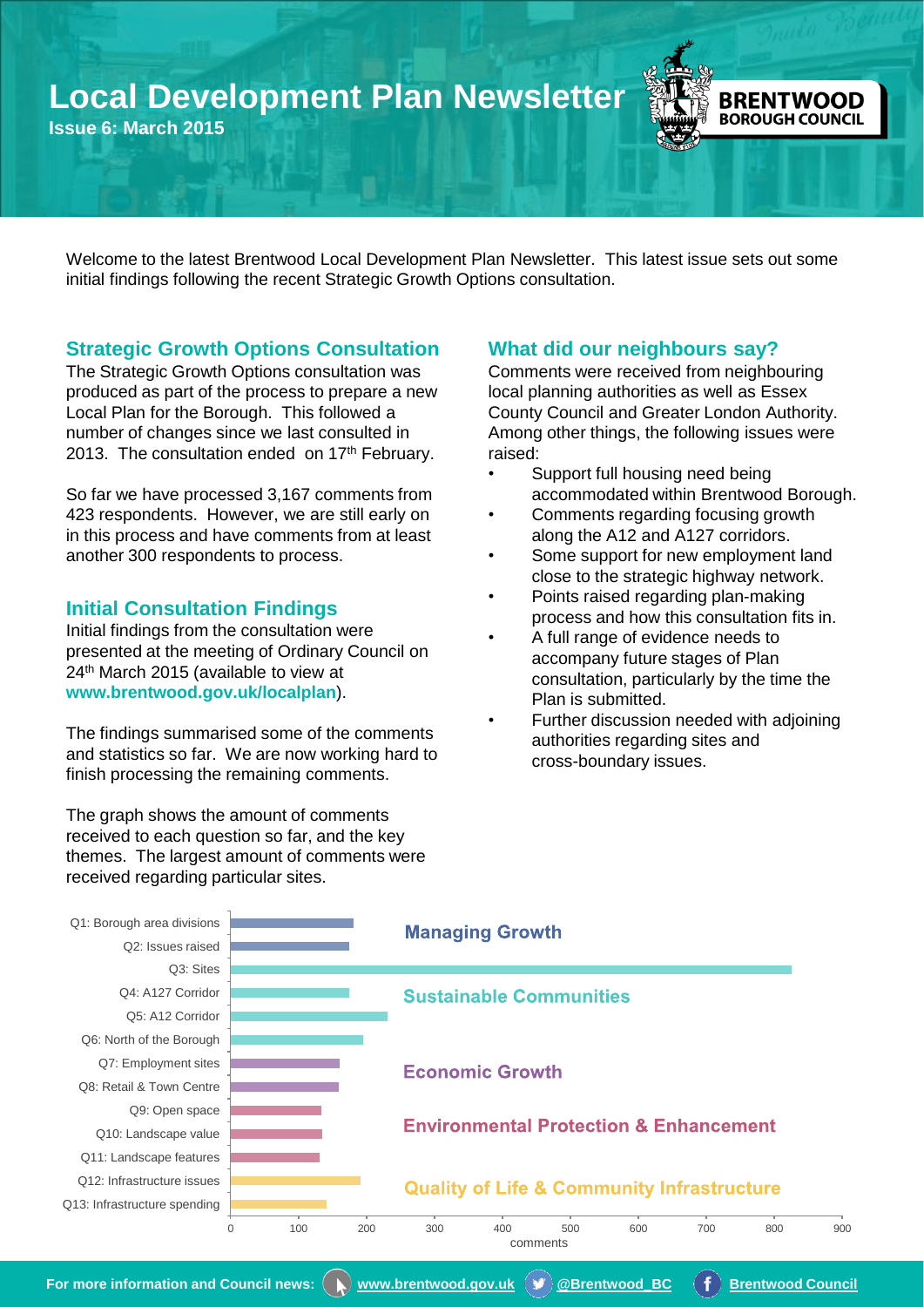# **Local Development Plan Newsletter**

**Issue 6: March 2015**



Welcome to the latest Brentwood Local Development Plan Newsletter. This latest issue sets out some initial findings following the recent Strategic Growth Options consultation.

# **Strategic Growth Options Consultation**

The Strategic Growth Options consultation was produced as part of the process to prepare a new Local Plan for the Borough. This followed a number of changes since we last consulted in 2013. The consultation ended on 17<sup>th</sup> February.

So far we have processed 3,167 comments from 423 respondents. However, we are still early on in this process and have comments from at least another 300 respondents to process.

# **Initial Consultation Findings**

Initial findings from the consultation were presented at the meeting of Ordinary Council on 24<sup>th</sup> March 2015 (available to view at **[www.brentwood.gov.uk/localplan](http://brentwood.moderngov.co.uk/documents/s7300/LDP - Strategic Growth Consultation - Initial Findings.pdf)**).

The findings summarised some of the comments and statistics so far. We are now working hard to finish processing the remaining comments.

The graph shows the amount of comments received to each question so far, and the key themes. The largest amount of comments were received regarding particular sites.

# **What did our neighbours say?**

Comments were received from neighbouring local planning authorities as well as Essex County Council and Greater London Authority. Among other things, the following issues were raised:

- Support full housing need being accommodated within Brentwood Borough.
- Comments regarding focusing growth along the A12 and A127 corridors.
- Some support for new employment land close to the strategic highway network.
- Points raised regarding plan-making process and how this consultation fits in.
- A full range of evidence needs to accompany future stages of Plan consultation, particularly by the time the Plan is submitted.
- Further discussion needed with adjoining authorities regarding sites and cross-boundary issues.



 **For more information and Council news:**  $\binom{a}{b}$  [www.brentwood.gov.uk](http://www.brentwood.gov.uk/)  $\binom{a}{b}$  **@Brentwood BC**  $\binom{a}{b}$  [Brentwood Council](https://www.facebook.com/brentwoodcouncil)